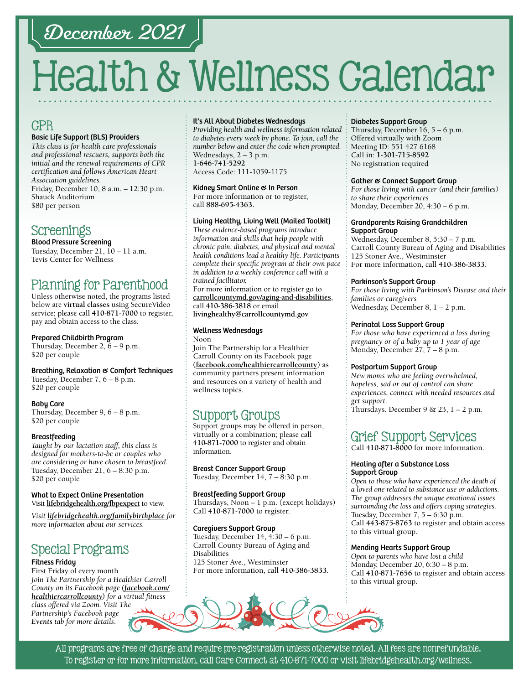## December 2021

# Health & Wellness Calendar

## **CPR**

#### Basic Life Support (BLS) Providers

*This class is for health care professionals and professional rescuers, supports both the initial and the renewal requirements of CPR certification and follows American Heart Association guidelines.*  Friday, December 10, 8 a.m. – 12:30 p.m. Shauck Auditorium \$80 per person

## Screenings

Blood Pressure Screening Tuesday, December 21, 10 – 11 a.m. Tevis Center for Wellness

## Planning for Parenthood

Unless otherwise noted, the programs listed below are **virtual classes** using SecureVideo service; please call **[410-871-7000](tel:4108717000)** to register, pay and obtain access to the class.

Prepared Childbirth Program Thursday, December 2, 6 – 9 p.m.

#### \$20 per couple

#### Breathing, Relaxation & Comfort Techniques

Tuesday, December 7, 6 – 8 p.m. \$20 per couple

#### Baby Care

Thursday, December 9, 6 – 8 p.m. \$20 per couple

#### **Breastfeeding**

*Taught by our lactation staff, this class is designed for mothers-to-be or couples who are considering or have chosen to breastfeed.* Tuesday, December 21, 6 – 8:30 p.m. \$20 per couple

#### What to Expect Online Presentation Visit **[lifebridgehealth.org/fbpexpect](http://www.lifebridgehealth.org/fbpexpect)** to view.

*Visit [lifebridgehealth.org/familybirthplace](http://www.lifebridgehealth.org/familybirthplace) for more information about our services.*

## Special Programs

#### Fitness Friday

First Friday of every month *Join The Partnership for a Healthier Carroll County on its Facebook page [\(facebook.com/](https://www.facebook.com/HealthierCarrollCounty/) [healthiercarrollcounty\)](https://www.facebook.com/HealthierCarrollCounty/) for a virtual fitness class offered via Zoom. Visit The Partnership's Facebook page [Events](https://www.facebook.com/HealthierCarrollCounty/events/?ref=page_internal) tab for more details.*

#### It's All About Diabetes Wednesdays

*Providing health and wellness information related to diabetes every week by phone. To join, call the number below and enter the code when prompted.* Wednesdays, 2 – 3 p.m. **[1-646-741-5292](tel:16467415292)** Access Code: 111-1059-1175

Kidney Smart Online & In Person For more information or to register, call **88[8-695-4](tel:8886954363)363.** 

#### Living Healthy, Living Well (Mailed Toolkit)

*These evidence-based programs introduce information and skills that help people with chronic pain, diabetes, and physical and mental health conditions lead a healthy life. Participants complete their specific program at their own pace in addition to a weekly conference call with a trained facilitator.*

For more information or to register go to **[carrollcountymd.gov/aging-and-disabilities](https://www.carrollcountymd.gov/aging-and-disabilities)**, call **[410-386-3818](tel:4103863818)** or email **[livinghealthy@carrollcountymd.gov](mailto:livinghealthy@carrollcountymd.gov)**

#### Wellness Wednesdays Noon

Join The Partnership for a Healthier Carroll County on its Facebook page **[\(facebook.com/healthiercarrollcounty\)](https://www.facebook.com/HealthierCarrollCounty/)** as community partners present information and resources on a variety of health and wellness topics.

## Support Groups

Support groups may be offered in person, virtually or a combination; please call **[410-871-7000](tel:4108717000)** to register and obtain information.

Breast Cancer Support Group Tuesday, December 14, 7 – 8:30 p.m.

#### Breastfeeding Support Group Thursdays, Noon – 1 p.m. (except holidays) Call **[410-871-7000](tel:4108717000)** to register.

#### Caregivers Support Group

Tuesday, December 14, 4:30 – 6 p.m. Carroll County Bureau of Aging and Disabilities 125 Stoner Ave., Westminster For more information, call **[410-386-3833](tel:4103863833)**.



#### Diabetes Support Group

Thursday, December 16, 5 – 6 p.m. Offered virtually with Zoom Meeting ID: 551 427 6168 Call in: **[1-301-715-8592](tel:13017158592)** No registration required

#### Gather & Connect Support Group

*For those living with cancer (and their families) to share their experiences*  Monday, December 20, 4:30 – 6 p.m.

#### Grandparents Raising Grandchildren Support Group

Wednesday, December 8, 5:30 – 7 p.m. Carroll County Bureau of Aging and Disabilities 125 Stoner Ave., Westminster For more information, call **[410-386-3833](tel:4103863833)**.

#### Parkinson's Support Group

*For those living with Parkinson's Disease and their families or caregivers*  Wednesday, December 8, 1 – 2 p.m.

#### Perinatal Loss Support Group

*For those who have experienced a loss during pregnancy or of a baby up to 1 year of age* Monday, December 27, 7 – 8 p.m.

#### Postpartum Support Group

*New moms who are feeling overwhelmed, hopeless, sad or out of control can share experiences, connect with needed resources and get support*. Thursdays, December 9 & 23,  $1 - 2$  p.m.

## Grief Support Services

Call **[410-871-8000](tel:4108718000)** for more information.

#### Healing after a Substance Loss Support Group

*Open to those who have experienced the death of a loved one related to substance use or addictions. The group addresses the unique emotional issues surrounding the loss and offers coping strategies.* Tuesday, December 7, 5 – 6:30 p.m. Call **[443-875-8763](tel:4438758763)** to register and obtain access to this virtual group.

#### Mending Hearts Support Group

*Open to parents who have lost a child* Monday, December 20, 6:30 – 8 p.m. Call **[410-871-7](tel:4108717656 )656** to register and obtain access to this virtual group.

All programs are free of charge and require pre-registration unless otherwise noted. All fees are nonrefundable. To register or for more information, call Care Connect at [410-871-7000](tel:4108717000) or visit [lifebridgehealth.org/wellness.](https://www.lifebridgehealth.org/Carroll/CarrollHospitalTevisCenterforWellness.aspx)